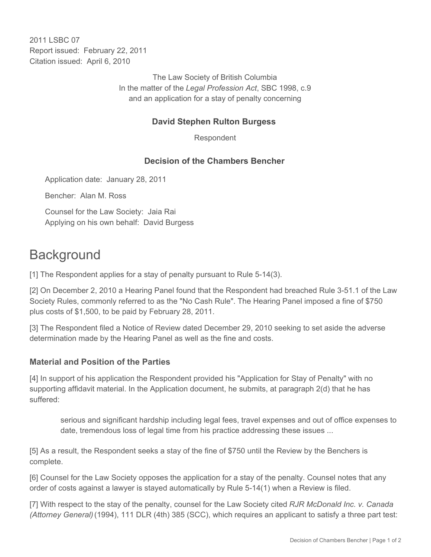2011 I SBC 07 Report issued: February 22, 2011 Citation issued: April 6, 2010

> The Law Society of British Columbia In the matter of the *Legal Profession Act*, SBC 1998, c.9 and an application for a stay of penalty concerning

## **David Stephen Rulton Burgess**

Respondent

## **Decision of the Chambers Bencher**

Application date: January 28, 2011

Bencher: Alan M. Ross

Counsel for the Law Society: Jaia Rai Applying on his own behalf: David Burgess

# **Background**

[1] The Respondent applies for a stay of penalty pursuant to Rule 5-14(3).

[2] On December 2, 2010 a Hearing Panel found that the Respondent had breached Rule 3-51.1 of the Law Society Rules, commonly referred to as the "No Cash Rule". The Hearing Panel imposed a fine of \$750 plus costs of \$1,500, to be paid by February 28, 2011.

[3] The Respondent filed a Notice of Review dated December 29, 2010 seeking to set aside the adverse determination made by the Hearing Panel as well as the fine and costs.

#### **Material and Position of the Parties**

[4] In support of his application the Respondent provided his "Application for Stay of Penalty" with no supporting affidavit material. In the Application document, he submits, at paragraph 2(d) that he has suffered:

serious and significant hardship including legal fees, travel expenses and out of office expenses to date, tremendous loss of legal time from his practice addressing these issues ...

[5] As a result, the Respondent seeks a stay of the fine of \$750 until the Review by the Benchers is complete.

[6] Counsel for the Law Society opposes the application for a stay of the penalty. Counsel notes that any order of costs against a lawyer is stayed automatically by Rule 5-14(1) when a Review is filed.

[7] With respect to the stay of the penalty, counsel for the Law Society cited *RJR McDonald Inc. v. Canada (Attorney General)* (1994), 111 DLR (4th) 385 (SCC), which requires an applicant to satisfy a three part test: